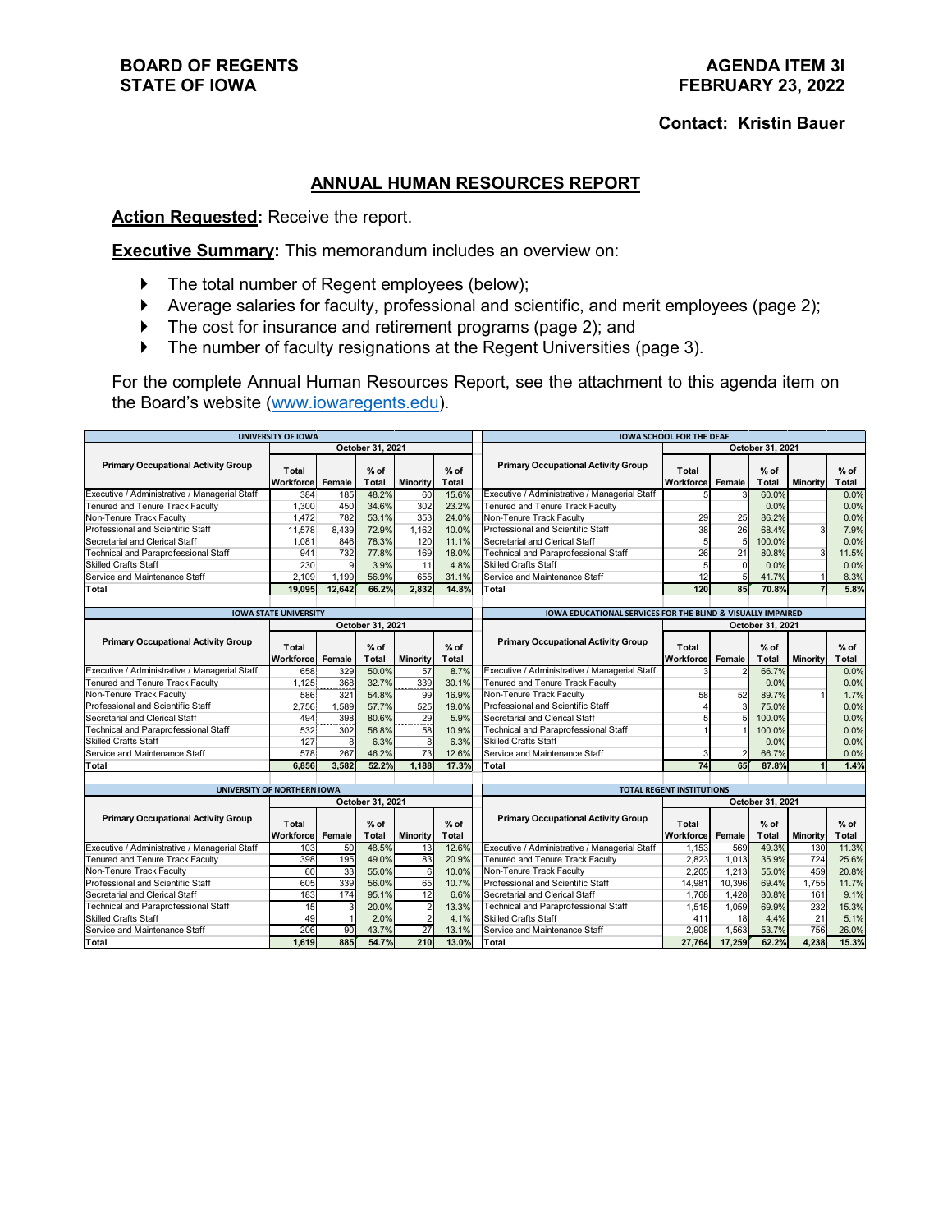## **Contact: Kristin Bauer**

## **ANNUAL HUMAN RESOURCES REPORT**

**Action Requested:** Receive the report.

**Executive Summary:** This memorandum includes an overview on:

- The total number of Regent employees (below);
- Average salaries for faculty, professional and scientific, and merit employees (page 2);
- The cost for insurance and retirement programs (page 2); and
- The number of faculty resignations at the Regent Universities (page 3).

For the complete Annual Human Resources Report, see the attachment to this agenda item on the Board's website [\(www.iowaregents.edu\)](http://www.iowaregents.edu/).

| <b>UNIVERSITY OF IOWA</b>                     |                              |                                       |                  | <b>IOWA SCHOOL FOR THE DEAF</b> |                                      |                                                             |                    |                 |                 |                 |                 |
|-----------------------------------------------|------------------------------|---------------------------------------|------------------|---------------------------------|--------------------------------------|-------------------------------------------------------------|--------------------|-----------------|-----------------|-----------------|-----------------|
|                                               | October 31, 2021             |                                       |                  |                                 |                                      |                                                             | October 31, 2021   |                 |                 |                 |                 |
| <b>Primary Occupational Activity Group</b>    | Total<br><b>Workforce</b>    | Female                                | $%$ of<br>Total  | <b>Minority</b>                 | $%$ of<br>Total                      | <b>Primary Occupational Activity Group</b>                  | Total<br>Workforce | Female          | $%$ of<br>Total | <b>Minority</b> | $%$ of<br>Total |
| Executive / Administrative / Managerial Staff | 384                          | 185                                   | 48.2%            | 60                              | 15.6%                                | Executive / Administrative / Managerial Staff               | 5                  | 3               | 60.0%           |                 | 0.0%            |
| Tenured and Tenure Track Faculty              | 1.300                        | 450                                   | 34.6%            | 302                             | 23.2%                                | Tenured and Tenure Track Faculty                            |                    |                 | 0.0%            |                 | 0.0%            |
| Non-Tenure Track Faculty                      | 1.472                        | 782                                   | 53.1%            | 353                             | 24.0%                                | Non-Tenure Track Faculty                                    | 29                 | 25              | 86.2%           |                 | 0.0%            |
| Professional and Scientific Staff             | 11,578                       | 8.439                                 | 72.9%            | 1,162                           | 10.0%                                | Professional and Scientific Staff                           | 38                 | 26              | 68.4%           | $\overline{3}$  | 7.9%            |
| Secretarial and Clerical Staff                | 1.081                        | 846                                   | 78.3%            | 120                             | 11.1%                                | Secretarial and Clerical Staff                              | 5                  | $5\overline{5}$ | 100.0%          |                 | 0.0%            |
| Technical and Paraprofessional Staff          | 941                          | 732                                   | 77.8%            | 169                             | 18.0%                                | Technical and Paraprofessional Staff                        | 26                 | 21              | 80.8%           | $\overline{3}$  | 11.5%           |
| <b>Skilled Crafts Staff</b>                   | 230                          | 9                                     | 3.9%             | 11                              | 4.8%                                 | <b>Skilled Crafts Staff</b>                                 | 5                  | $\Omega$        | 0.0%            |                 | 0.0%            |
| Service and Maintenance Staff                 | 2,109                        | 1,199                                 | 56.9%            | 655                             | 31.1%                                | Service and Maintenance Staff                               | 12                 | $\overline{5}$  | 41.7%           | $\overline{1}$  | 8.3%            |
| Total                                         | 19.095                       | 12.642                                | 66.2%            | 2.832                           | 14.8%                                | Total                                                       | 120                | 85              | 70.8%           | $\overline{7}$  | 5.8%            |
|                                               |                              |                                       |                  |                                 |                                      |                                                             |                    |                 |                 |                 |                 |
|                                               | <b>IOWA STATE UNIVERSITY</b> |                                       |                  |                                 |                                      | IOWA EDUCATIONAL SERVICES FOR THE BLIND & VISUALLY IMPAIRED |                    |                 |                 |                 |                 |
|                                               | October 31, 2021             |                                       |                  |                                 |                                      |                                                             | October 31, 2021   |                 |                 |                 |                 |
| <b>Primary Occupational Activity Group</b>    | Total                        |                                       | $%$ of           |                                 | $%$ of                               | <b>Primary Occupational Activity Group</b>                  | Total              |                 | $%$ of          |                 | $%$ of          |
|                                               | Workforce                    | Female                                | Total            | <b>Minority</b>                 | Total                                |                                                             | Workforce          | Female          | Total           | Minority        | Total           |
| Executive / Administrative / Managerial Staff | 658                          | 329                                   | 50.0%            | 57                              | 8.7%                                 | Executive / Administrative / Managerial Staff               |                    |                 | 66.7%           |                 | 0.0%            |
| Tenured and Tenure Track Faculty              | 1,125                        | 368                                   | 32.7%            | 339                             | 30.1%                                | Tenured and Tenure Track Faculty                            |                    |                 | 0.0%            |                 | 0.0%            |
| Non-Tenure Track Faculty                      | 586                          | 321                                   | 54.8%            | 99                              | 16.9%                                | Non-Tenure Track Faculty                                    | 58                 | 52              | 89.7%           | $\overline{1}$  | 1.7%            |
| Professional and Scientific Staff             | 2.756                        | 1.589                                 | 57.7%            | 525                             | 19.0%                                | Professional and Scientific Staff                           |                    |                 | 75.0%           |                 | 0.0%            |
| Secretarial and Clerical Staff                | 494                          | 398                                   | 80.6%            | 29                              | 5.9%                                 | Secretarial and Clerical Staff                              |                    | 5               | 100.0%          |                 | 0.0%            |
| Technical and Paraprofessional Staff          | 532                          | 302                                   | 56.8%            | 58                              | 10.9%                                | Technical and Paraprofessional Staff                        |                    |                 | 100.0%          |                 | 0.0%            |
| <b>Skilled Crafts Staff</b>                   | 127                          | 8                                     | 6.3%             | 8                               | 6.3%                                 | <b>Skilled Crafts Staff</b>                                 |                    |                 | 0.0%            |                 | 0.0%            |
| Service and Maintenance Staff                 | 578                          | 267                                   | 46.2%            | $\overline{73}$                 | 12.6%                                | Service and Maintenance Staff                               | 3                  | $\overline{2}$  | 66.7%           |                 | 0.0%            |
| Total                                         | 6.856                        | 3.582                                 | 52.2%            | 1.188                           | 17.3%                                | Total                                                       | 74                 | 65              | 87.8%           |                 | 1.4%            |
|                                               |                              |                                       |                  |                                 |                                      |                                                             |                    |                 |                 |                 |                 |
| UNIVERSITY OF NORTHERN IOWA                   |                              |                                       |                  |                                 | <b>TOTAL REGENT INSTITUTIONS</b>     |                                                             |                    |                 |                 |                 |                 |
| October 31, 2021                              |                              |                                       | October 31, 2021 |                                 |                                      |                                                             |                    |                 |                 |                 |                 |
| <b>Primary Occupational Activity Group</b>    | Total                        |                                       | $%$ of           |                                 | $%$ of                               | <b>Primary Occupational Activity Group</b>                  | Total              |                 | $%$ of          |                 | $%$ of          |
|                                               | Workforce                    | Female                                | Total            | <b>Minority</b>                 | Total                                |                                                             | <b>Workforce</b>   | Female          | Total           | Minority        | Total           |
| Executive / Administrative / Managerial Staff | 103                          | 50                                    | 48.5%            | 13                              | 12.6%                                | Executive / Administrative / Managerial Staff               | 1.153              | 569             | 49.3%           | 130             | 11.3%           |
| Tenured and Tenure Track Faculty              | 398                          | 195                                   | 49.0%            | 83                              | 20.9%                                | Tenured and Tenure Track Faculty                            | 2.823              | 1.013           | 35.9%           | 724             | 25.6%           |
| Non-Tenure Track Faculty                      | 60                           | 33                                    | 55.0%            | 6                               | 10.0%                                | Non-Tenure Track Faculty                                    | 2,205              | 1,213           | 55.0%           | 459             | 20.8%           |
| Professional and Scientific Staff             | 605                          | 339                                   | 56.0%            | 65                              | 10.7%                                | Professional and Scientific Staff                           | 14,981             | 10,396          | 69.4%           | 1,755           | 11.7%           |
| Secretarial and Clerical Staff                | 183                          | 174                                   | 95.1%            | 12                              | 6.6%                                 | Secretarial and Clerical Staff                              | 1.768              | 1,428           | 80.8%           | 161             | 9.1%            |
| Technical and Paraprofessional Staff          | 15                           | $\overline{2}$<br>3<br>20.0%<br>13.3% |                  |                                 | Technical and Paraprofessional Staff | 1,515                                                       | 1,059              | 69.9%           | 232             | 15.3%           |                 |
| <b>Skilled Crafts Staff</b>                   | 49                           | $\mathbf{1}$                          | 2.0%             | $\overline{2}$                  | 4.1%                                 | <b>Skilled Crafts Staff</b>                                 | 411                | 18              | 4.4%            | 21              | 5.1%            |
| Service and Maintenance Staff                 | 206                          | 90                                    | 43.7%            | 27                              | 13.1%                                | Service and Maintenance Staff<br>1.563<br>2.908             |                    | 53.7%           | 756             | 26.0%           |                 |
| Total                                         | 1.619                        | 885                                   | 54.7%            | 210                             | 13.0%                                | Total                                                       | 27,764             | 17,259          | 62.2%           | 4.238           | 15.3%           |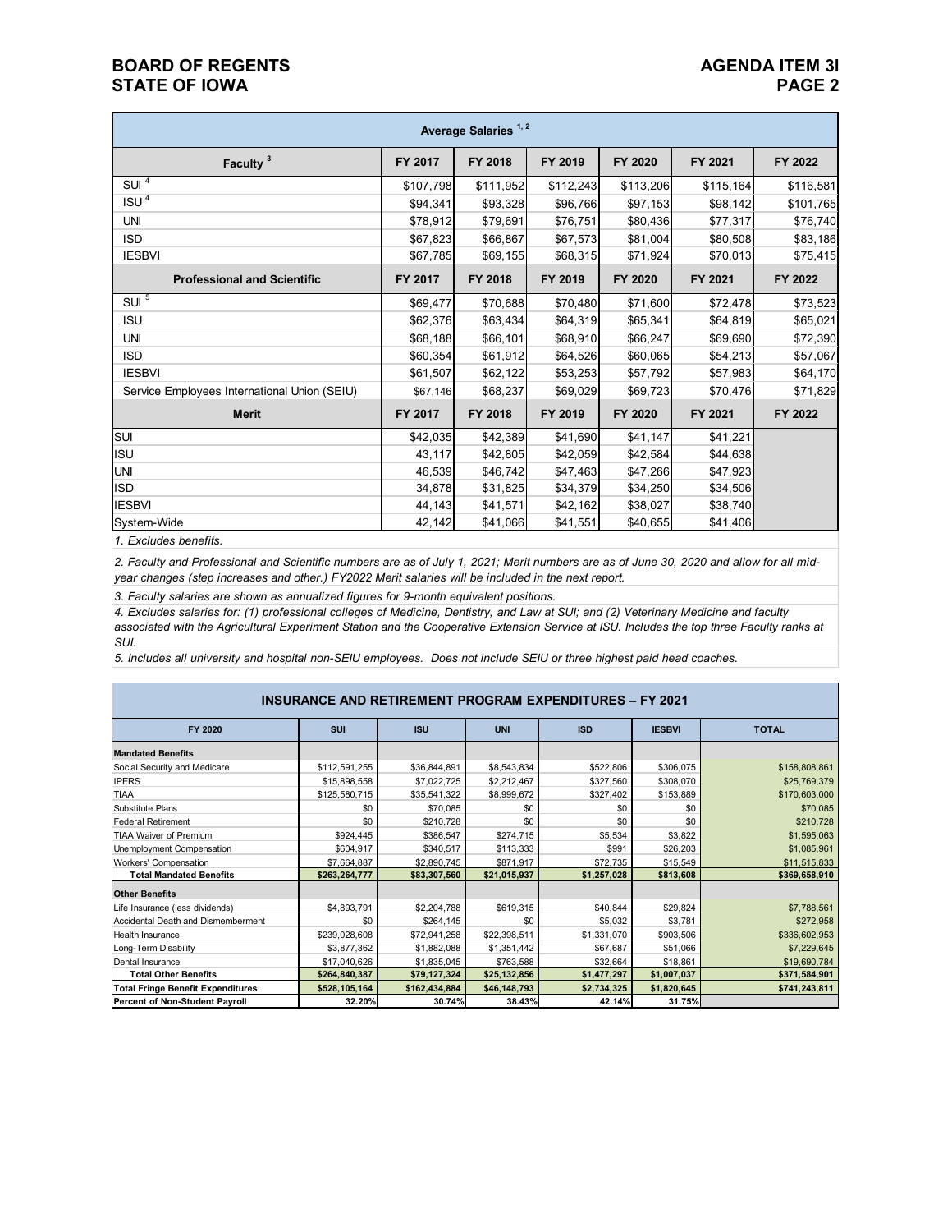## **BOARD OF REGENTS**<br> **BOARD OF REGENTS**<br> **BOARD OF IOWA**<br> **BOARD OF IOWA STATE OF IOWA**

| Average Salaries <sup>1,2</sup>              |           |           |           |           |           |           |  |  |
|----------------------------------------------|-----------|-----------|-----------|-----------|-----------|-----------|--|--|
| Faculty <sup>3</sup>                         | FY 2017   | FY 2018   | FY 2019   | FY 2020   | FY 2021   | FY 2022   |  |  |
| SUI <sup>4</sup>                             | \$107,798 | \$111,952 | \$112,243 | \$113,206 | \$115,164 | \$116,581 |  |  |
| ISU <sup>4</sup>                             | \$94,341  | \$93,328  | \$96,766  | \$97,153  | \$98,142  | \$101,765 |  |  |
| <b>UNI</b>                                   | \$78,912  | \$79,691  | \$76,751  | \$80,436  | \$77,317  | \$76,740  |  |  |
| <b>ISD</b>                                   | \$67,823  | \$66,867  | \$67,573  | \$81,004  | \$80,508  | \$83,186  |  |  |
| <b>IESBVI</b>                                | \$67,785  | \$69,155  | \$68,315  | \$71,924  | \$70,013  | \$75,415  |  |  |
| <b>Professional and Scientific</b>           | FY 2017   | FY 2018   | FY 2019   | FY 2020   | FY 2021   | FY 2022   |  |  |
| SUI <sup>5</sup>                             | \$69,477  | \$70,688  | \$70,480  | \$71,600  | \$72,478  | \$73,523  |  |  |
| <b>ISU</b>                                   | \$62,376  | \$63,434  | \$64,319  | \$65,341  | \$64,819  | \$65,021  |  |  |
| <b>UNI</b>                                   | \$68,188  | \$66,101  | \$68,910  | \$66,247  | \$69,690  | \$72,390  |  |  |
| <b>ISD</b>                                   | \$60,354  | \$61,912  | \$64,526  | \$60,065  | \$54,213  | \$57,067  |  |  |
| <b>IESBVI</b>                                | \$61,507  | \$62,122  | \$53,253  | \$57,792  | \$57,983  | \$64,170  |  |  |
| Service Employees International Union (SEIU) | \$67,146  | \$68,237  | \$69,029  | \$69,723  | \$70,476  | \$71,829  |  |  |
| <b>Merit</b>                                 | FY 2017   | FY 2018   | FY 2019   | FY 2020   | FY 2021   | FY 2022   |  |  |
| SUI                                          | \$42,035  | \$42,389  | \$41,690  | \$41,147  | \$41,221  |           |  |  |
| <b>ISU</b>                                   | 43.117    | \$42,805  | \$42,059  | \$42,584  | \$44,638  |           |  |  |
| <b>UNI</b>                                   | 46,539    | \$46,742  | \$47,463  | \$47,266  | \$47,923  |           |  |  |
| <b>ISD</b>                                   | 34,878    | \$31,825  | \$34,379  | \$34,250  | \$34,506  |           |  |  |
| <b>IESBVI</b>                                | 44,143    | \$41,571  | \$42,162  | \$38,027  | \$38,740  |           |  |  |
| System-Wide                                  | 42,142    | \$41,066  | \$41,551  | \$40,655  | \$41,406  |           |  |  |

*1. Excludes benefits.*

*2. Faculty and Professional and Scientific numbers are as of July 1, 2021; Merit numbers are as of June 30, 2020 and allow for all midyear changes (step increases and other.) FY2022 Merit salaries will be included in the next report.*

*3. Faculty salaries are shown as annualized figures for 9-month equivalent positions.*

*4. Excludes salaries for: (1) professional colleges of Medicine, Dentistry, and Law at SUI; and (2) Veterinary Medicine and faculty*  associated with the Agricultural Experiment Station and the Cooperative Extension Service at ISU. Includes the top three Faculty ranks at *SUI.*

*5. Includes all university and hospital non-SEIU employees. Does not include SEIU or three highest paid head coaches.*

| <b>INSURANCE AND RETIREMENT PROGRAM EXPENDITURES - FY 2021</b> |               |               |              |             |               |               |  |  |
|----------------------------------------------------------------|---------------|---------------|--------------|-------------|---------------|---------------|--|--|
| FY 2020                                                        | <b>SUI</b>    | <b>ISU</b>    | <b>UNI</b>   | <b>ISD</b>  | <b>IESBVI</b> | <b>TOTAL</b>  |  |  |
| <b>Mandated Benefits</b>                                       |               |               |              |             |               |               |  |  |
| Social Security and Medicare                                   | \$112,591,255 | \$36,844,891  | \$8,543,834  | \$522,806   | \$306,075     | \$158,808,861 |  |  |
| <b>IPERS</b>                                                   | \$15,898,558  | \$7,022,725   | \$2,212,467  | \$327,560   | \$308,070     | \$25,769,379  |  |  |
| TIAA                                                           | \$125,580,715 | \$35,541,322  | \$8,999,672  | \$327,402   | \$153,889     | \$170,603,000 |  |  |
| <b>Substitute Plans</b>                                        | \$0           | \$70,085      | \$0          | \$0         | \$0           | \$70,085      |  |  |
| <b>Federal Retirement</b>                                      | \$0           | \$210,728     | \$0          | \$0         | \$0           | \$210,728     |  |  |
| <b>TIAA Waiver of Premium</b>                                  | \$924,445     | \$386,547     | \$274,715    | \$5,534     | \$3,822       | \$1,595,063   |  |  |
| Unemployment Compensation                                      | \$604,917     | \$340,517     | \$113,333    | \$991       | \$26,203      | \$1,085,961   |  |  |
| Workers' Compensation                                          | \$7,664,887   | \$2,890,745   | \$871,917    | \$72,735    | \$15,549      | \$11,515,833  |  |  |
| <b>Total Mandated Benefits</b>                                 | \$263,264,777 | \$83,307,560  | \$21,015,937 | \$1,257,028 | \$813,608     | \$369,658,910 |  |  |
| <b>Other Benefits</b>                                          |               |               |              |             |               |               |  |  |
| Life Insurance (less dividends)                                | \$4,893,791   | \$2,204,788   | \$619,315    | \$40,844    | \$29,824      | \$7,788,561   |  |  |
| <b>Accidental Death and Dismemberment</b>                      | \$0           | \$264,145     | \$0          | \$5,032     | \$3,781       | \$272,958     |  |  |
| <b>Health Insurance</b>                                        | \$239,028,608 | \$72,941,258  | \$22,398,511 | \$1,331,070 | \$903,506     | \$336,602,953 |  |  |
| Long-Term Disability                                           | \$3,877,362   | \$1,882,088   | \$1,351,442  | \$67,687    | \$51,066      | \$7,229,645   |  |  |
| Dental Insurance                                               | \$17,040,626  | \$1,835,045   | \$763,588    | \$32,664    | \$18,861      | \$19,690,784  |  |  |
| <b>Total Other Benefits</b>                                    | \$264,840,387 | \$79,127,324  | \$25,132,856 | \$1,477,297 | \$1,007,037   | \$371,584,901 |  |  |
| <b>Total Fringe Benefit Expenditures</b>                       | \$528,105,164 | \$162,434,884 | \$46,148,793 | \$2,734,325 | \$1,820,645   | \$741,243,811 |  |  |
| Percent of Non-Student Payroll                                 | 32.20%        | 30.74%        | 38.43%       | 42.14%      | 31.75%        |               |  |  |